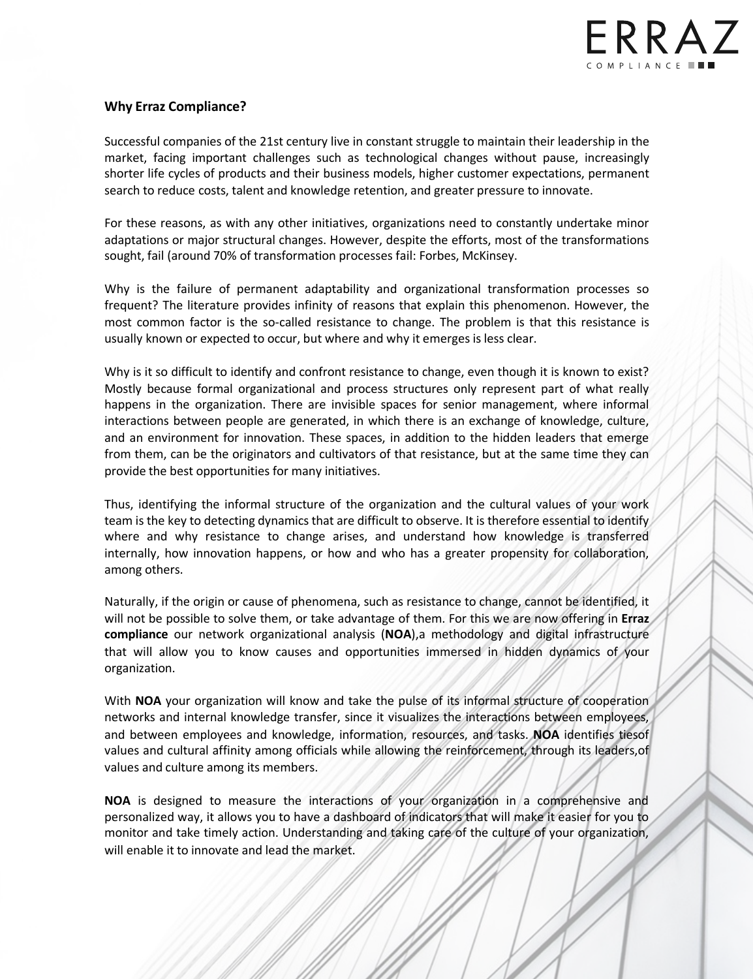

## **Why Erraz Compliance?**

Successful companies of the 21st century live in constant struggle to maintain their leadership in the market, facing important challenges such as technological changes without pause, increasingly shorter life cycles of products and their business models, higher customer expectations, permanent search to reduce costs, talent and knowledge retention, and greater pressure to innovate.

For these reasons, as with any other initiatives, organizations need to constantly undertake minor adaptations or major structural changes. However, despite the efforts, most of the transformations sought, fail (around 70% of transformation processes fail: Forbes, McKinsey.

Why is the failure of permanent adaptability and organizational transformation processes so frequent? The literature provides infinity of reasons that explain this phenomenon. However, the most common factor is the so-called resistance to change. The problem is that this resistance is usually known or expected to occur, but where and why it emerges is less clear.

Why is it so difficult to identify and confront resistance to change, even though it is known to exist? Mostly because formal organizational and process structures only represent part of what really happens in the organization. There are invisible spaces for senior management, where informal interactions between people are generated, in which there is an exchange of knowledge, culture, and an environment for innovation. These spaces, in addition to the hidden leaders that emerge from them, can be the originators and cultivators of that resistance, but at the same time they can provide the best opportunities for many initiatives.

Thus, identifying the informal structure of the organization and the cultural values of your work team is the key to detecting dynamics that are difficult to observe. It is therefore essential to identify where and why resistance to change arises, and understand how knowledge is transferred internally, how innovation happens, or how and who has a greater propensity for collaboration, among others.

Naturally, if the origin or cause of phenomena, such as resistance to change, cannot be identified, it will not be possible to solve them, or take advantage of them. For this we are now offering in **Erraz compliance** our network organizational analysis (**NOA**),a methodology and digital infrastructure that will allow you to know causes and opportunities immersed in hidden dynamics of your organization.

With **NOA** your organization will know and take the pulse of its informal structure of cooperation networks and internal knowledge transfer, since it visualizes the interactions between employees, and between employees and knowledge, information, resources, and tasks. **NOA** identifies tiesof values and cultural affinity among officials while allowing the reinforcement, through its leaders,of values and culture among its members.

**NOA** is designed to measure the interactions of your organization in a comprehensive and personalized way, it allows you to have a dashboard of indicators that will make it easier for you to monitor and take timely action. Understanding and taking care of the culture of your organization, will enable it to innovate and lead the market.